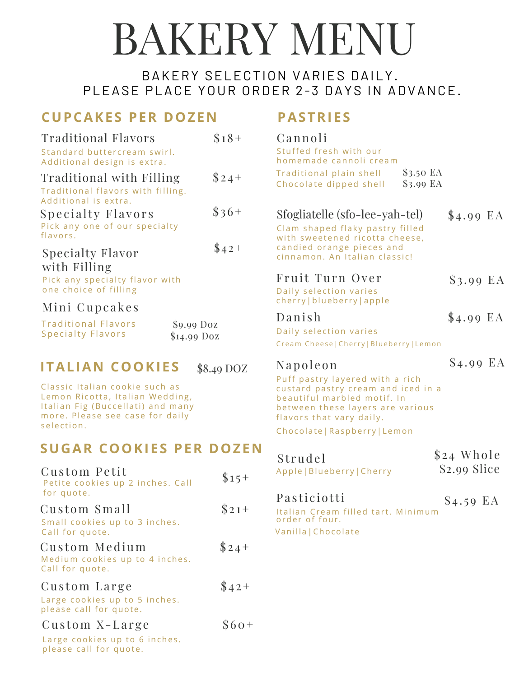# BAKERY MENU

## BAKERY SELECTION VARIES DAILY. PLEASE PLACE YOUR ORDER 2-3 DAYS IN ADVANCE.

# **CUPCAKES PER DOZEN**

#### Traditional Flavors Standard buttercream swirl. Additional design is extra. Traditional with Filling Traditional flavors with filling. Additional is extra.  $$18+$  $$24 +$ Specialty Flavors Pick any one of our specialty flavors.  $\$36+$ Specialty Flavor with Filling Pick any specialty flavor with one choice of filling  $$42+$

### Mini Cupcakes

| <b>Traditional Flavors</b> | $$9.99$ Doz  |
|----------------------------|--------------|
| <b>Specialty Flavors</b>   | $$14.99$ Doz |

#### \$ <sup>4</sup> . <sup>9</sup> <sup>9</sup> EA **ITALIAN COOKIES** \$8.49 DOZ

Classic Italian cookie such as Lemon Ricotta, Italian Wedding, Italian Fig (Buccellati) and many more. Please see case for daily selection.

## **SUGAR COOKIES PER DOZEN**

| Custom Petit<br>Petite cookies up 2 inches. Call<br>for quote.            | $$15+$ |
|---------------------------------------------------------------------------|--------|
| Custom Small<br>Small cookies up to 3 inches.<br>Call for quote.          | $$21+$ |
| Custom Medium<br>Medium cookies up to 4 inches.<br>Call for quote.        | $$24+$ |
| Custom Large<br>Large cookies up to 5 inches.<br>please call for quote.   | $$42+$ |
| Custom X-Large<br>Large cookies up to 6 inches.<br>please call for quote. | $$60+$ |

# **PASTRIES**

|   | Cannoli<br>Stuffed fresh with our<br>homemade cannoli cream<br>Traditional plain shell<br>Chocolate dipped shell                                                                                                  | \$3.50 EA<br>$$3.99$ EA |                             |
|---|-------------------------------------------------------------------------------------------------------------------------------------------------------------------------------------------------------------------|-------------------------|-----------------------------|
|   | Sfogliatelle (sfo-lee-yah-tel)<br>Clam shaped flaky pastry filled<br>with sweetened ricotta cheese,<br>candied orange pieces and<br>cinnamon. An Italian classic!                                                 |                         | $$4.99$ EA                  |
|   | Fruit Turn Over<br>Daily selection varies<br>cherry   blueberry   apple                                                                                                                                           |                         | $$3.99$ EA                  |
|   | Danish<br>Daily selection varies<br>Cream Cheese   Cherry   Blueberry   Lemon                                                                                                                                     |                         | $$4.99$ EA                  |
|   | Napoleon<br>Puff pastry layered with a rich<br>custard pastry cream and iced in a<br>beautiful marbled motif. In<br>between these layers are various<br>flavors that vary daily.<br>Chocolate   Raspberry   Lemon |                         | $$4.99$ EA                  |
| J | Strudel<br>Apple   Blueberry   Cherry                                                                                                                                                                             |                         | \$24 Whole<br>$$2.99$ Slice |
|   | Pasticiotti                                                                                                                                                                                                       |                         | \$4.59 EA                   |

Italian Cream filled tart. Minimum order of four . Vanilla | Chocolate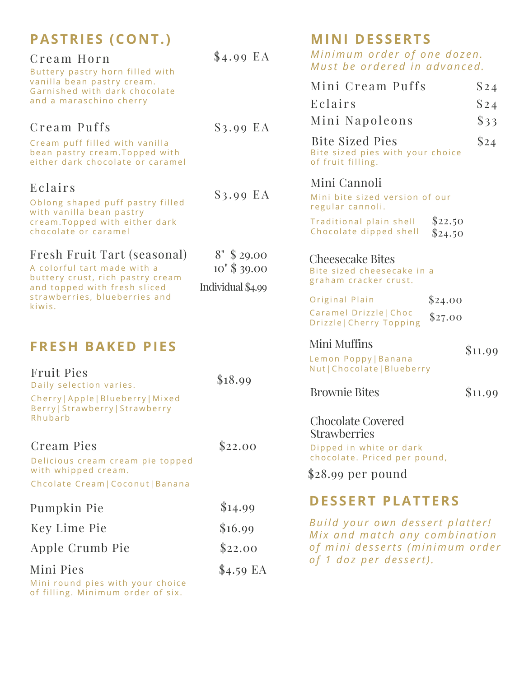| <b>PASTRIES (CONT.)</b><br>Cream Horn                                                                                                                                     | $$4.99$ EA                                             | <b>MINI DESSERTS</b><br>Minimum order of one dozen.                                        |                    |  |
|---------------------------------------------------------------------------------------------------------------------------------------------------------------------------|--------------------------------------------------------|--------------------------------------------------------------------------------------------|--------------------|--|
| Buttery pastry horn filled with<br>vanilla bean pastry cream.<br>Garnished with dark chocolate<br>and a maraschino cherry                                                 |                                                        | Must be ordered in advanced.<br>Mini Cream Puffs<br>Eclairs                                | \$24<br>\$24       |  |
| Cream Puffs                                                                                                                                                               | $$3.99$ EA                                             | Mini Napoleons                                                                             | $\frac{833}{}$     |  |
| Cream puff filled with vanilla<br>bean pastry cream. Topped with<br>either dark chocolate or caramel                                                                      |                                                        | <b>Bite Sized Pies</b><br>Bite sized pies with your choice<br>of fruit filling.            |                    |  |
| Eclairs<br>Oblong shaped puff pastry filled                                                                                                                               | $$3.99$ EA                                             | Mini Cannoli<br>Mini bite sized version of our<br>regular cannoli.                         |                    |  |
| with vanilla bean pastry<br>cream. Topped with either dark<br>chocolate or caramel                                                                                        |                                                        | Traditional plain shell<br>Chocolate dipped shell                                          | \$22.50<br>\$24.50 |  |
| Fresh Fruit Tart (seasonal)<br>A colorful tart made with a<br>buttery crust, rich pastry cream<br>and topped with fresh sliced<br>strawberries, blueberries and<br>kiwis. | $8''$ \$ 29.00<br>$10''$ \$ 39.00<br>Individual \$4.99 | <b>Cheesecake Bites</b><br>Bite sized cheesecake in a<br>graham cracker crust.             |                    |  |
|                                                                                                                                                                           |                                                        | Original Plain                                                                             | \$24.00            |  |
|                                                                                                                                                                           |                                                        | Caramel Drizzle   Choc<br>Drizzle   Cherry Topping                                         | \$27.00            |  |
| <b>FRESH BAKED PIES</b>                                                                                                                                                   |                                                        | Mini Muffins<br>Lemon Poppy   Banana<br>Nut   Chocolate   Blueberry                        | \$11.99            |  |
| <b>Fruit Pies</b><br>Daily selection varies.<br>Cherry   Apple   Blueberry   Mixed<br>Berry   Strawberry   Strawberry                                                     | \$18.99                                                | <b>Brownie Bites</b>                                                                       | \$11.99            |  |
| Rhubarb                                                                                                                                                                   |                                                        | <b>Chocolate Covered</b><br><b>Strawberries</b>                                            |                    |  |
| Cream Pies<br>Delicious cream cream pie topped                                                                                                                            | \$22.00                                                | Dipped in white or dark<br>chocolate. Priced per pound,                                    |                    |  |
| with whipped cream.<br>Chcolate Cream   Coconut   Banana                                                                                                                  |                                                        | $$28.99$ per pound                                                                         |                    |  |
|                                                                                                                                                                           | \$14.99                                                | <b>DESSERT PLATTERS</b>                                                                    |                    |  |
| Pumpkin Pie                                                                                                                                                               |                                                        | Build your own dessert platter!                                                            |                    |  |
| Key Lime Pie                                                                                                                                                              | \$16.99                                                | Mix and match any combination<br>of mini desserts (minimum order<br>of 1 doz per dessert). |                    |  |
| Apple Crumb Pie                                                                                                                                                           | \$22.00                                                |                                                                                            |                    |  |
| Mini Pies<br>Mini round pies with your choice                                                                                                                             | $$4.59$ EA                                             |                                                                                            |                    |  |

of filling. Minimum order of six.